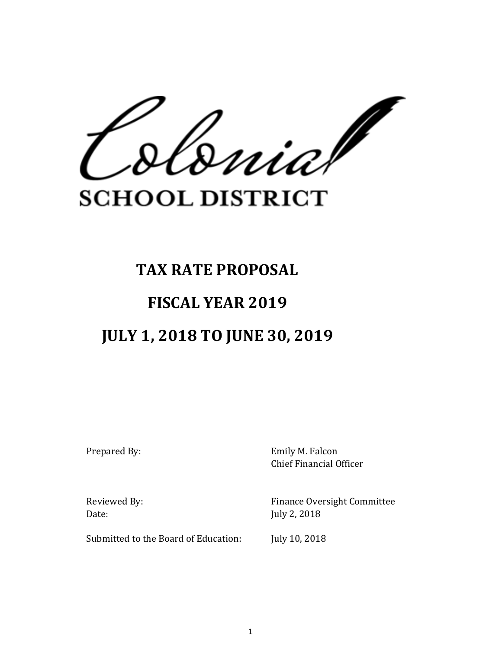uia/

# **SCHOOL DISTRICT**

# **TAX RATE PROPOSAL**

## **FISCAL YEAR 2019**

# **JULY 1, 2018 TO JUNE 30, 2019**

Prepared By: Emily M. Falcon Chief Financial Officer

Date: July 2, 2018

Reviewed By: Finance Oversight Committee

Submitted to the Board of Education: July 10, 2018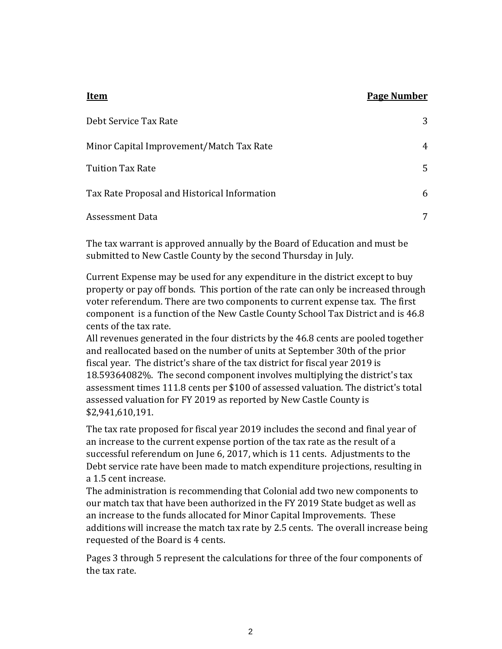#### **Item Page Number**

| Debt Service Tax Rate                        | 3 |
|----------------------------------------------|---|
| Minor Capital Improvement/Match Tax Rate     | 4 |
| Tuition Tax Rate                             | 5 |
| Tax Rate Proposal and Historical Information | 6 |
| Assessment Data                              | 7 |
|                                              |   |

The tax warrant is approved annually by the Board of Education and must be submitted to New Castle County by the second Thursday in July.

Current Expense may be used for any expenditure in the district except to buy property or pay off bonds. This portion of the rate can only be increased through voter referendum. There are two components to current expense tax. The first component is a function of the New Castle County School Tax District and is 46.8 cents of the tax rate.

All revenues generated in the four districts by the 46.8 cents are pooled together and reallocated based on the number of units at September 30th of the prior fiscal year. The district's share of the tax district for fiscal year 2019 is 18.59364082%. The second component involves multiplying the district's tax assessment times 111.8 cents per \$100 of assessed valuation. The district's total assessed valuation for FY 2019 as reported by New Castle County is \$2,941,610,191.

The tax rate proposed for fiscal year 2019 includes the second and final year of an increase to the current expense portion of the tax rate as the result of a successful referendum on June 6, 2017, which is 11 cents. Adjustments to the Debt service rate have been made to match expenditure projections, resulting in a 1.5 cent increase.

The administration is recommending that Colonial add two new components to our match tax that have been authorized in the FY 2019 State budget as well as an increase to the funds allocated for Minor Capital Improvements. These additions will increase the match tax rate by 2.5 cents. The overall increase being requested of the Board is 4 cents.

Pages 3 through 5 represent the calculations for three of the four components of the tax rate.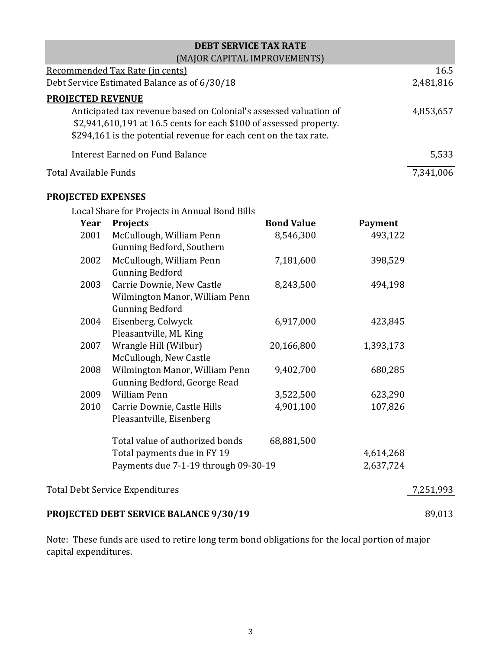| <b>DEBT SERVICE TAX RATE</b>                                       |           |
|--------------------------------------------------------------------|-----------|
| (MAJOR CAPITAL IMPROVEMENTS)                                       |           |
| Recommended Tax Rate (in cents)                                    | 16.5      |
| Debt Service Estimated Balance as of 6/30/18                       | 2,481,816 |
| <b>PROJECTED REVENUE</b>                                           |           |
| Anticipated tax revenue based on Colonial's assessed valuation of  | 4,853,657 |
| \$2,941,610,191 at 16.5 cents for each \$100 of assessed property. |           |
| \$294,161 is the potential revenue for each cent on the tax rate.  |           |
| Interest Earned on Fund Balance                                    | 5,533     |
| Total Available Funds                                              | 7,341,006 |

#### **PROJECTED EXPENSES**

Local Share for Projects in Annual Bond Bills

| Year | <b>Projects</b>                                    | <b>Bond Value</b> | <b>Payment</b> |           |
|------|----------------------------------------------------|-------------------|----------------|-----------|
| 2001 | McCullough, William Penn                           | 8,546,300         | 493,122        |           |
|      | Gunning Bedford, Southern                          |                   |                |           |
| 2002 | McCullough, William Penn<br><b>Gunning Bedford</b> | 7,181,600         | 398,529        |           |
| 2003 | Carrie Downie, New Castle                          | 8,243,500         | 494,198        |           |
|      | Wilmington Manor, William Penn                     |                   |                |           |
|      | <b>Gunning Bedford</b>                             |                   |                |           |
| 2004 | Eisenberg, Colwyck                                 | 6,917,000         | 423,845        |           |
|      | Pleasantville, ML King                             |                   |                |           |
| 2007 | Wrangle Hill (Wilbur)                              | 20,166,800        | 1,393,173      |           |
|      | McCullough, New Castle                             |                   |                |           |
| 2008 | Wilmington Manor, William Penn                     | 9,402,700         | 680,285        |           |
|      | Gunning Bedford, George Read                       |                   |                |           |
| 2009 | <b>William Penn</b>                                | 3,522,500         | 623,290        |           |
| 2010 | Carrie Downie, Castle Hills                        | 4,901,100         | 107,826        |           |
|      | Pleasantville, Eisenberg                           |                   |                |           |
|      | Total value of authorized bonds                    | 68,881,500        |                |           |
|      | Total payments due in FY 19                        |                   | 4,614,268      |           |
|      | Payments due 7-1-19 through 09-30-19               |                   | 2,637,724      |           |
|      | <b>Total Debt Service Expenditures</b>             |                   |                | 7,251,993 |
|      |                                                    |                   |                |           |

## **PROJECTED DEBT SERVICE BALANCE 9/30/19** 89,013

Note: These funds are used to retire long term bond obligations for the local portion of major capital expenditures.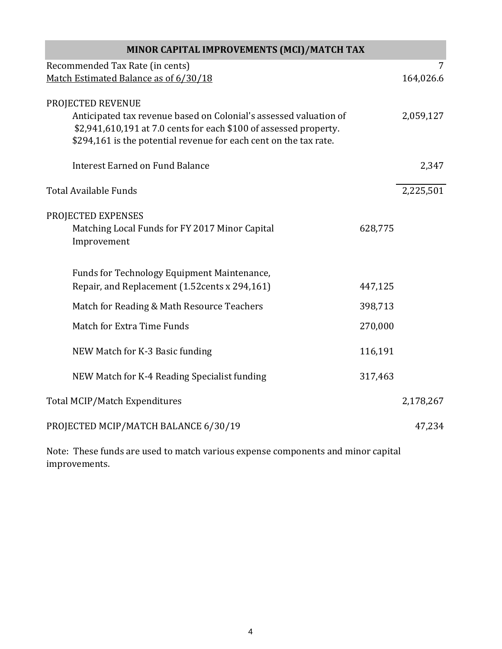| MINOR CAPITAL IMPROVEMENTS (MCI)/MATCH TAX                                                                                             |         |           |  |
|----------------------------------------------------------------------------------------------------------------------------------------|---------|-----------|--|
| Recommended Tax Rate (in cents)                                                                                                        |         | 7         |  |
| Match Estimated Balance as of 6/30/18                                                                                                  |         | 164,026.6 |  |
| PROJECTED REVENUE                                                                                                                      |         |           |  |
| Anticipated tax revenue based on Colonial's assessed valuation of<br>\$2,941,610,191 at 7.0 cents for each \$100 of assessed property. |         | 2,059,127 |  |
| \$294,161 is the potential revenue for each cent on the tax rate.                                                                      |         |           |  |
| <b>Interest Earned on Fund Balance</b>                                                                                                 |         | 2,347     |  |
| <b>Total Available Funds</b>                                                                                                           |         | 2,225,501 |  |
| PROJECTED EXPENSES                                                                                                                     |         |           |  |
| Matching Local Funds for FY 2017 Minor Capital                                                                                         | 628,775 |           |  |
| Improvement                                                                                                                            |         |           |  |
| Funds for Technology Equipment Maintenance,                                                                                            |         |           |  |
| Repair, and Replacement (1.52 cents x 294, 161)                                                                                        | 447,125 |           |  |
| Match for Reading & Math Resource Teachers                                                                                             | 398,713 |           |  |
| <b>Match for Extra Time Funds</b>                                                                                                      | 270,000 |           |  |
| NEW Match for K-3 Basic funding                                                                                                        | 116,191 |           |  |
| NEW Match for K-4 Reading Specialist funding                                                                                           | 317,463 |           |  |
| Total MCIP/Match Expenditures                                                                                                          |         | 2,178,267 |  |
| PROJECTED MCIP/MATCH BALANCE 6/30/19                                                                                                   |         | 47,234    |  |

Note: These funds are used to match various expense components and minor capital improvements.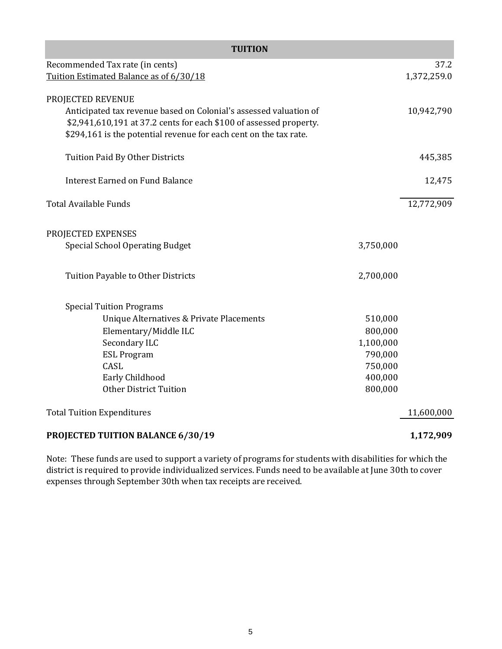| <b>TUITION</b>                                                                                                                          |           |             |  |  |
|-----------------------------------------------------------------------------------------------------------------------------------------|-----------|-------------|--|--|
| Recommended Tax rate (in cents)                                                                                                         |           | 37.2        |  |  |
| Tuition Estimated Balance as of 6/30/18                                                                                                 |           | 1,372,259.0 |  |  |
| PROJECTED REVENUE<br>Anticipated tax revenue based on Colonial's assessed valuation of                                                  |           | 10,942,790  |  |  |
| \$2,941,610,191 at 37.2 cents for each \$100 of assessed property.<br>\$294,161 is the potential revenue for each cent on the tax rate. |           |             |  |  |
| Tuition Paid By Other Districts                                                                                                         |           | 445,385     |  |  |
| <b>Interest Earned on Fund Balance</b>                                                                                                  |           | 12,475      |  |  |
| <b>Total Available Funds</b>                                                                                                            |           | 12,772,909  |  |  |
| PROJECTED EXPENSES<br><b>Special School Operating Budget</b>                                                                            | 3,750,000 |             |  |  |
| Tuition Payable to Other Districts                                                                                                      | 2,700,000 |             |  |  |
| <b>Special Tuition Programs</b>                                                                                                         |           |             |  |  |
| Unique Alternatives & Private Placements                                                                                                | 510,000   |             |  |  |
| Elementary/Middle ILC                                                                                                                   | 800,000   |             |  |  |
| Secondary ILC                                                                                                                           | 1,100,000 |             |  |  |
| <b>ESL Program</b>                                                                                                                      | 790,000   |             |  |  |
| CASL                                                                                                                                    | 750,000   |             |  |  |
| Early Childhood                                                                                                                         | 400,000   |             |  |  |
| <b>Other District Tuition</b>                                                                                                           | 800,000   |             |  |  |
| <b>Total Tuition Expenditures</b>                                                                                                       |           | 11,600,000  |  |  |
| PROJECTED TUITION BALANCE 6/30/19                                                                                                       |           | 1,172,909   |  |  |

Note: These funds are used to support a variety of programs for students with disabilities for which the district is required to provide individualized services. Funds need to be available at June 30th to cover expenses through September 30th when tax receipts are received.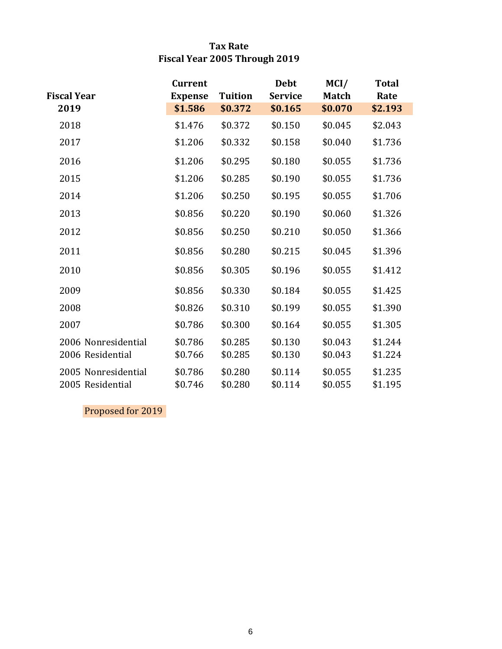### **Tax Rate Fiscal Year 2005 Through 2019**

|                                         | <b>Current</b>     |                    | <b>Debt</b>        | MCI/               | <b>Total</b>       |
|-----------------------------------------|--------------------|--------------------|--------------------|--------------------|--------------------|
| <b>Fiscal Year</b>                      | <b>Expense</b>     | <b>Tuition</b>     | <b>Service</b>     | <b>Match</b>       | Rate               |
| 2019                                    | \$1.586            | \$0.372            | \$0.165            | \$0.070            | \$2.193            |
| 2018                                    | \$1.476            | \$0.372            | \$0.150            | \$0.045            | \$2.043            |
| 2017                                    | \$1.206            | \$0.332            | \$0.158            | \$0.040            | \$1.736            |
| 2016                                    | \$1.206            | \$0.295            | \$0.180            | \$0.055            | \$1.736            |
| 2015                                    | \$1.206            | \$0.285            | \$0.190            | \$0.055            | \$1.736            |
| 2014                                    | \$1.206            | \$0.250            | \$0.195            | \$0.055            | \$1.706            |
| 2013                                    | \$0.856            | \$0.220            | \$0.190            | \$0.060            | \$1.326            |
| 2012                                    | \$0.856            | \$0.250            | \$0.210            | \$0.050            | \$1.366            |
| 2011                                    | \$0.856            | \$0.280            | \$0.215            | \$0.045            | \$1.396            |
| 2010                                    | \$0.856            | \$0.305            | \$0.196            | \$0.055            | \$1.412            |
| 2009                                    | \$0.856            | \$0.330            | \$0.184            | \$0.055            | \$1.425            |
| 2008                                    | \$0.826            | \$0.310            | \$0.199            | \$0.055            | \$1.390            |
| 2007                                    | \$0.786            | \$0.300            | \$0.164            | \$0.055            | \$1.305            |
| 2006 Nonresidential<br>2006 Residential | \$0.786<br>\$0.766 | \$0.285<br>\$0.285 | \$0.130<br>\$0.130 | \$0.043<br>\$0.043 | \$1.244<br>\$1.224 |
| 2005 Nonresidential<br>2005 Residential | \$0.786<br>\$0.746 | \$0.280<br>\$0.280 | \$0.114<br>\$0.114 | \$0.055<br>\$0.055 | \$1.235<br>\$1.195 |

Proposed for 2019